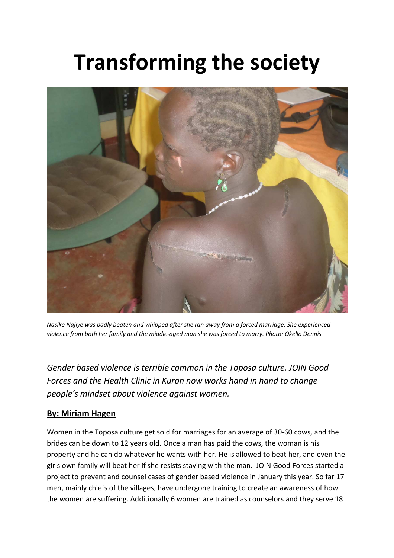# **Transforming the society**



*Nasike Najiye was badly beaten and whipped after she ran away from a forced marriage. She experienced violence from both her family and the middle-aged man she was forced to marry. Photo: Okello Dennis* 

*Gender based violence is terrible common in the Toposa culture. JOIN Good Forces and the Health Clinic in Kuron now works hand in hand to change people's mindset about violence against women.* 

# **By: Miriam Hagen**

Women in the Toposa culture get sold for marriages for an average of 30-60 cows, and the brides can be down to 12 years old. Once a man has paid the cows, the woman is his property and he can do whatever he wants with her. He is allowed to beat her, and even the girls own family will beat her if she resists staying with the man. JOIN Good Forces started a project to prevent and counsel cases of gender based violence in January this year. So far 17 men, mainly chiefs of the villages, have undergone training to create an awareness of how the women are suffering. Additionally 6 women are trained as counselors and they serve 18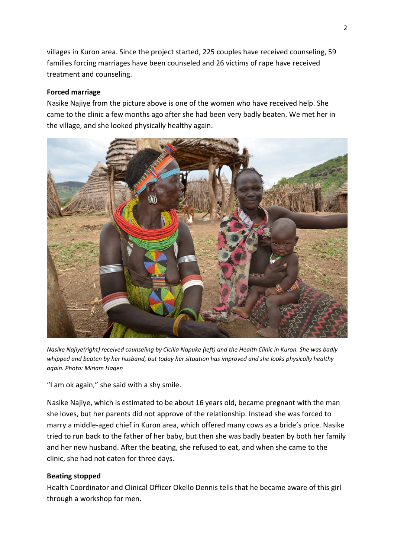villages in Kuron area. Since the project started, 225 couples have received counseling, 59 families forcing marriages have been counseled and 26 victims of rape have received treatment and counseling.

### **Forced marriage**

Nasike Najiye from the picture above is one of the women who have received help. She came to the clinic a few months ago after she had been very badly beaten. We met her in the village, and she looked physically healthy again.



*Nasike Najiye(right) received counseling by Cicilia Napuke (left) and the Health Clinic in Kuron. She was badly whipped and beaten by her husband, but today her situation has improved and she looks physically healthy again. Photo: Miriam Hagen*

"I am ok again," she said with a shy smile.

Nasike Najiye, which is estimated to be about 16 years old, became pregnant with the man she loves, but her parents did not approve of the relationship. Instead she was forced to marry a middle-aged chief in Kuron area, which offered many cows as a bride's price. Nasike tried to run back to the father of her baby, but then she was badly beaten by both her family and her new husband. After the beating, she refused to eat, and when she came to the clinic, she had not eaten for three days.

## **Beating stopped**

Health Coordinator and Clinical Officer Okello Dennis tells that he became aware of this girl through a workshop for men.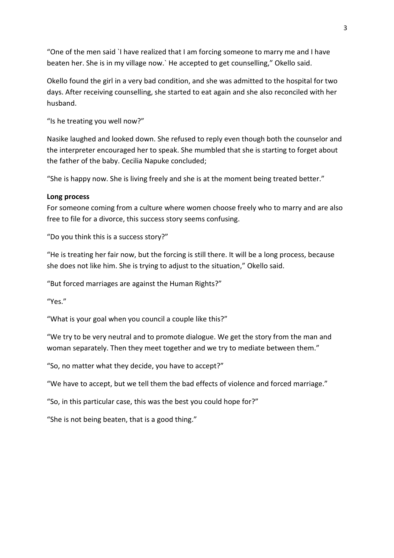"One of the men said `I have realized that I am forcing someone to marry me and I have beaten her. She is in my village now.` He accepted to get counselling," Okello said.

Okello found the girl in a very bad condition, and she was admitted to the hospital for two days. After receiving counselling, she started to eat again and she also reconciled with her husband.

"Is he treating you well now?"

Nasike laughed and looked down. She refused to reply even though both the counselor and the interpreter encouraged her to speak. She mumbled that she is starting to forget about the father of the baby. Cecilia Napuke concluded;

"She is happy now. She is living freely and she is at the moment being treated better."

#### **Long process**

For someone coming from a culture where women choose freely who to marry and are also free to file for a divorce, this success story seems confusing.

"Do you think this is a success story?"

"He is treating her fair now, but the forcing is still there. It will be a long process, because she does not like him. She is trying to adjust to the situation," Okello said.

"But forced marriages are against the Human Rights?"

"Yes."

"What is your goal when you council a couple like this?"

"We try to be very neutral and to promote dialogue. We get the story from the man and woman separately. Then they meet together and we try to mediate between them."

"So, no matter what they decide, you have to accept?"

"We have to accept, but we tell them the bad effects of violence and forced marriage."

"So, in this particular case, this was the best you could hope for?"

"She is not being beaten, that is a good thing."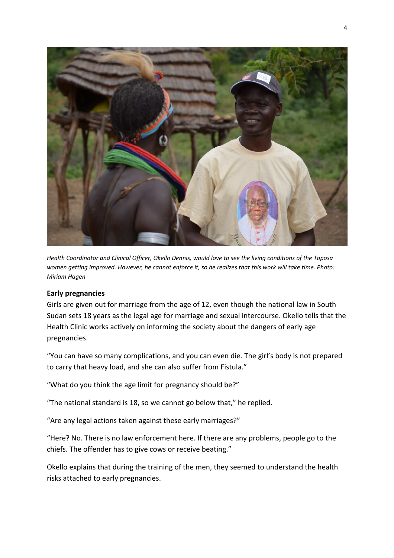

*Health Coordinator and Clinical Officer, Okello Dennis, would love to see the living conditions of the Toposa women getting improved. However, he cannot enforce it, so he realizes that this work will take time. Photo: Miriam Hagen* 

#### **Early pregnancies**

Girls are given out for marriage from the age of 12, even though the national law in South Sudan sets 18 years as the legal age for marriage and sexual intercourse. Okello tells that the Health Clinic works actively on informing the society about the dangers of early age pregnancies.

"You can have so many complications, and you can even die. The girl's body is not prepared to carry that heavy load, and she can also suffer from Fistula."

"What do you think the age limit for pregnancy should be?"

"The national standard is 18, so we cannot go below that," he replied.

"Are any legal actions taken against these early marriages?"

"Here? No. There is no law enforcement here. If there are any problems, people go to the chiefs. The offender has to give cows or receive beating."

Okello explains that during the training of the men, they seemed to understand the health risks attached to early pregnancies.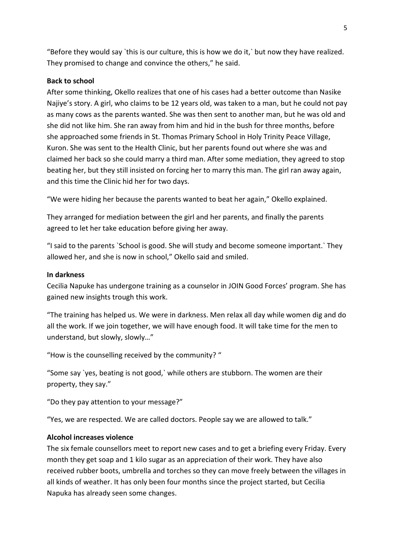"Before they would say `this is our culture, this is how we do it,` but now they have realized. They promised to change and convince the others," he said.

#### **Back to school**

After some thinking, Okello realizes that one of his cases had a better outcome than Nasike Najiye's story. A girl, who claims to be 12 years old, was taken to a man, but he could not pay as many cows as the parents wanted. She was then sent to another man, but he was old and she did not like him. She ran away from him and hid in the bush for three months, before she approached some friends in St. Thomas Primary School in Holy Trinity Peace Village, Kuron. She was sent to the Health Clinic, but her parents found out where she was and claimed her back so she could marry a third man. After some mediation, they agreed to stop beating her, but they still insisted on forcing her to marry this man. The girl ran away again, and this time the Clinic hid her for two days.

"We were hiding her because the parents wanted to beat her again," Okello explained.

They arranged for mediation between the girl and her parents, and finally the parents agreed to let her take education before giving her away.

"I said to the parents `School is good. She will study and become someone important.` They allowed her, and she is now in school," Okello said and smiled.

#### **In darkness**

Cecilia Napuke has undergone training as a counselor in JOIN Good Forces' program. She has gained new insights trough this work.

"The training has helped us. We were in darkness. Men relax all day while women dig and do all the work. If we join together, we will have enough food. It will take time for the men to understand, but slowly, slowly…"

"How is the counselling received by the community? "

"Some say `yes, beating is not good,` while others are stubborn. The women are their property, they say."

"Do they pay attention to your message?"

"Yes, we are respected. We are called doctors. People say we are allowed to talk."

#### **Alcohol increases violence**

The six female counsellors meet to report new cases and to get a briefing every Friday. Every month they get soap and 1 kilo sugar as an appreciation of their work. They have also received rubber boots, umbrella and torches so they can move freely between the villages in all kinds of weather. It has only been four months since the project started, but Cecilia Napuka has already seen some changes.